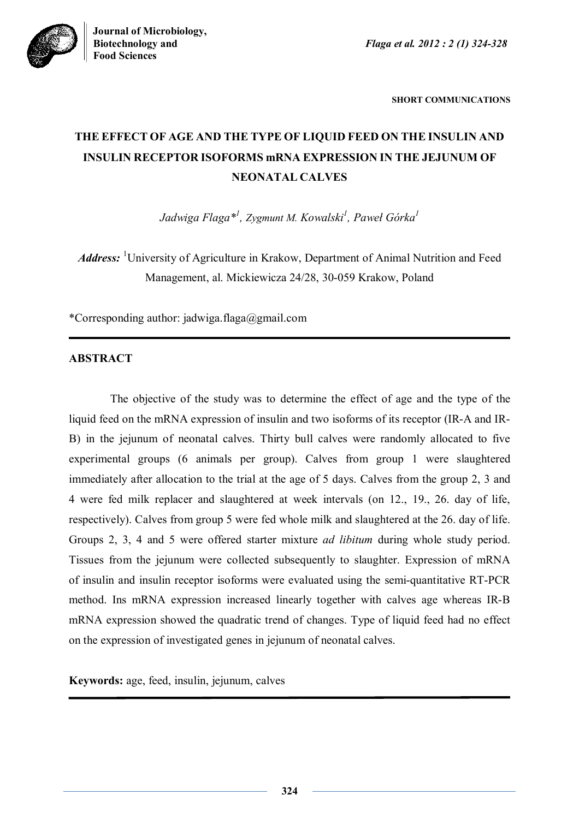**Biotechnology and** *Flaga et al. 2012 : 2 (1) 324-328*



**SHORT COMMUNICATIONS**

# **THE EFFECT OF AGE AND THE TYPE OF LIQUID FEED ON THE INSULIN AND INSULIN RECEPTOR ISOFORMS mRNA EXPRESSION IN THE JEJUNUM OF NEONATAL CALVES**

*Jadwiga Flaga\* 1 , Zygmunt M. Kowalski<sup>1</sup> , Paweł Górka<sup>1</sup>*

*Address*: <sup>1</sup>University of Agriculture in Krakow, Department of Animal Nutrition and Feed Management, al. Mickiewicza 24/28, 30-059 Krakow, Poland

\*Corresponding author: jadwiga.flaga@gmail.com

## **ABSTRACT**

The objective of the study was to determine the effect of age and the type of the liquid feed on the mRNA expression of insulin and two isoforms of its receptor (IR-A and IR-B) in the jejunum of neonatal calves. Thirty bull calves were randomly allocated to five experimental groups (6 animals per group). Calves from group 1 were slaughtered immediately after allocation to the trial at the age of 5 days. Calves from the group 2, 3 and 4 were fed milk replacer and slaughtered at week intervals (on 12., 19., 26. day of life, respectively). Calves from group 5 were fed whole milk and slaughtered at the 26. day of life. Groups 2, 3, 4 and 5 were offered starter mixture *ad libitum* during whole study period. Tissues from the jejunum were collected subsequently to slaughter. Expression of mRNA of insulin and insulin receptor isoforms were evaluated using the semi-quantitative RT-PCR method. Ins mRNA expression increased linearly together with calves age whereas IR-B mRNA expression showed the quadratic trend of changes. Type of liquid feed had no effect on the expression of investigated genes in jejunum of neonatal calves.

**Keywords:** age, feed, insulin, jejunum, calves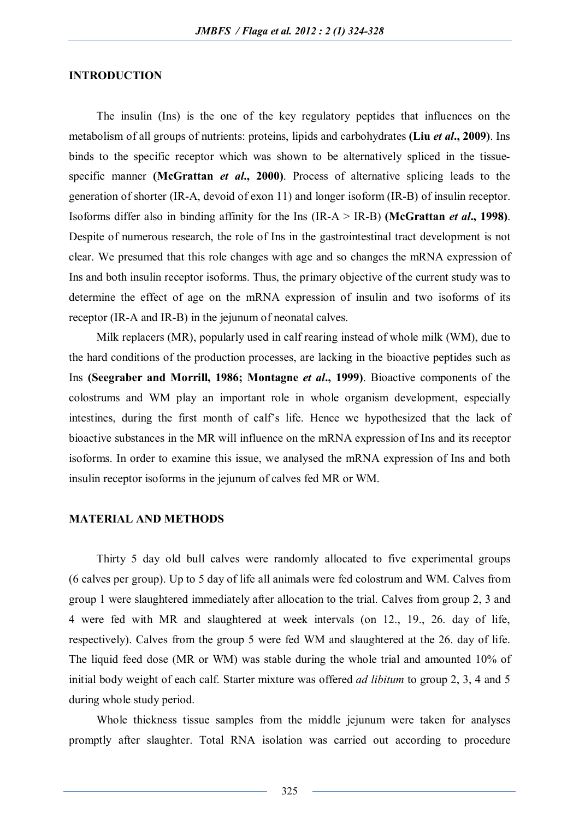#### **INTRODUCTION**

The insulin (Ins) is the one of the key regulatory peptides that influences on the metabolism of all groups of nutrients: proteins, lipids and carbohydrates **(Liu** *et al***., 2009)**. Ins binds to the specific receptor which was shown to be alternatively spliced in the tissuespecific manner **(McGrattan** *et al***., 2000)**. Process of alternative splicing leads to the generation of shorter (IR-A, devoid of exon 11) and longer isoform (IR-B) of insulin receptor. Isoforms differ also in binding affinity for the Ins (IR-A > IR-B) **(McGrattan** *et al***., 1998)**. Despite of numerous research, the role of Ins in the gastrointestinal tract development is not clear. We presumed that this role changes with age and so changes the mRNA expression of Ins and both insulin receptor isoforms. Thus, the primary objective of the current study was to determine the effect of age on the mRNA expression of insulin and two isoforms of its receptor (IR-A and IR-B) in the jejunum of neonatal calves.

Milk replacers (MR), popularly used in calf rearing instead of whole milk (WM), due to the hard conditions of the production processes, are lacking in the bioactive peptides such as Ins **(Seegraber and Morrill, 1986; Montagne** *et al***., 1999)**. Bioactive components of the colostrums and WM play an important role in whole organism development, especially intestines, during the first month of calf's life. Hence we hypothesized that the lack of bioactive substances in the MR will influence on the mRNA expression of Ins and its receptor isoforms. In order to examine this issue, we analysed the mRNA expression of Ins and both insulin receptor isoforms in the jejunum of calves fed MR or WM.

#### **MATERIAL AND METHODS**

Thirty 5 day old bull calves were randomly allocated to five experimental groups (6 calves per group). Up to 5 day of life all animals were fed colostrum and WM. Calves from group 1 were slaughtered immediately after allocation to the trial. Calves from group 2, 3 and 4 were fed with MR and slaughtered at week intervals (on 12., 19., 26. day of life, respectively). Calves from the group 5 were fed WM and slaughtered at the 26. day of life. The liquid feed dose (MR or WM) was stable during the whole trial and amounted 10% of initial body weight of each calf. Starter mixture was offered *ad libitum* to group 2, 3, 4 and 5 during whole study period.

Whole thickness tissue samples from the middle jejunum were taken for analyses promptly after slaughter. Total RNA isolation was carried out according to procedure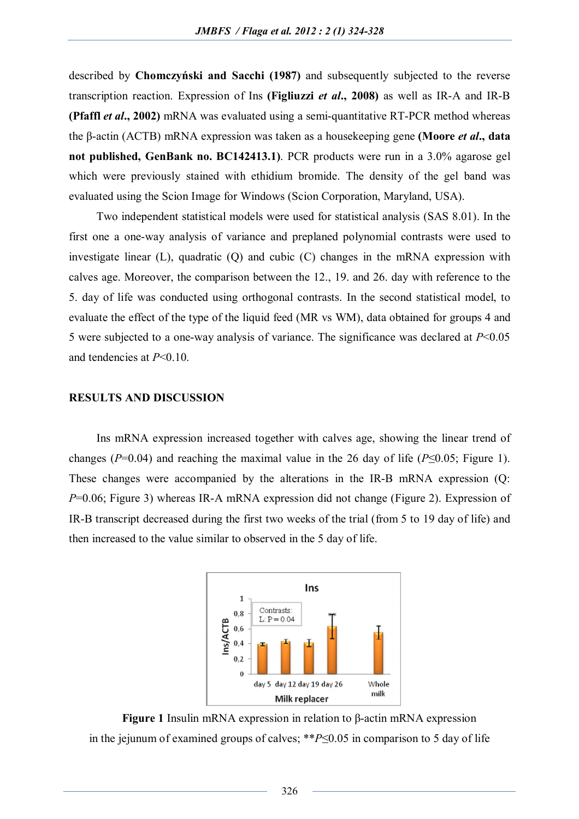described by **Chomczyński and Sacchi (1987)** and subsequently subjected to the reverse transcription reaction. Expression of Ins **(Figliuzzi** *et al***., 2008)** as well as IR-A and IR-B **(Pfaffl** *et al***., 2002)** mRNA was evaluated using a semi-quantitative RT-PCR method whereas the β-actin (ACTB) mRNA expression was taken as a housekeeping gene **(Moore** *et al***., data not published, GenBank no. BC142413.1)**. PCR products were run in a 3.0% agarose gel which were previously stained with ethidium bromide. The density of the gel band was evaluated using the Scion Image for Windows (Scion Corporation, Maryland, USA).

Two independent statistical models were used for statistical analysis (SAS 8.01). In the first one a one-way analysis of variance and preplaned polynomial contrasts were used to investigate linear (L), quadratic (Q) and cubic (C) changes in the mRNA expression with calves age. Moreover, the comparison between the 12., 19. and 26. day with reference to the 5. day of life was conducted using orthogonal contrasts. In the second statistical model, to evaluate the effect of the type of the liquid feed (MR vs WM), data obtained for groups 4 and 5 were subjected to a one-way analysis of variance. The significance was declared at *P*<0.05 and tendencies at *P*<0.10.

#### **RESULTS AND DISCUSSION**

Ins mRNA expression increased together with calves age, showing the linear trend of changes ( $P=0.04$ ) and reaching the maximal value in the 26 day of life ( $P\leq 0.05$ ; Figure 1). These changes were accompanied by the alterations in the IR-B mRNA expression (Q: *P*=0.06; Figure 3) whereas IR-A mRNA expression did not change (Figure 2). Expression of IR-B transcript decreased during the first two weeks of the trial (from 5 to 19 day of life) and then increased to the value similar to observed in the 5 day of life.



**Figure 1** Insulin mRNA expression in relation to β-actin mRNA expression in the jejunum of examined groups of calves; \*\**P*≤0.05 in comparison to 5 day of life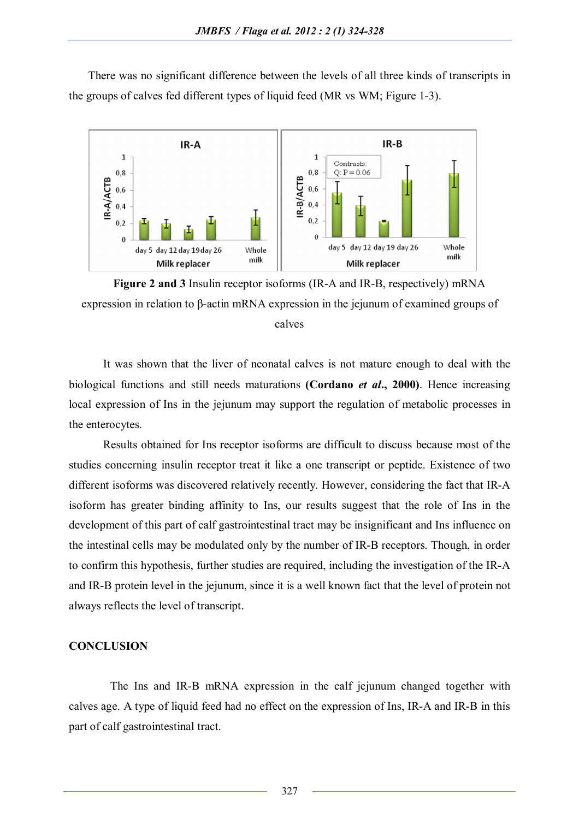There was no significant difference between the levels of all three kinds of transcripts in the groups of calves fed different types of liquid feed (MR vs WM; Figure 1-3).



**Figure 2 and 3** Insulin receptor isoforms (IR-A and IR-B, respectively) mRNA expression in relation to β-actin mRNA expression in the jejunum of examined groups of calves

It was shown that the liver of neonatal calves is not mature enough to deal with the biological functions and still needs maturations **(Cordano** *et al***., 2000)**. Hence increasing local expression of Ins in the jejunum may support the regulation of metabolic processes in the enterocytes.

Results obtained for Ins receptor isoforms are difficult to discuss because most of the studies concerning insulin receptor treat it like a one transcript or peptide. Existence of two different isoforms was discovered relatively recently. However, considering the fact that IR-A isoform has greater binding affinity to Ins, our results suggest that the role of Ins in the development of this part of calf gastrointestinal tract may be insignificant and Ins influence on the intestinal cells may be modulated only by the number of IR-B receptors. Though, in order to confirm this hypothesis, further studies are required, including the investigation of the IR-A and IR-B protein level in the jejunum, since it is a well known fact that the level of protein not always reflects the level of transcript.

#### **CONCLUSION**

The Ins and IR-B mRNA expression in the calf jejunum changed together with calves age. A type of liquid feed had no effect on the expression of Ins, IR-A and IR-B in this part of calf gastrointestinal tract.